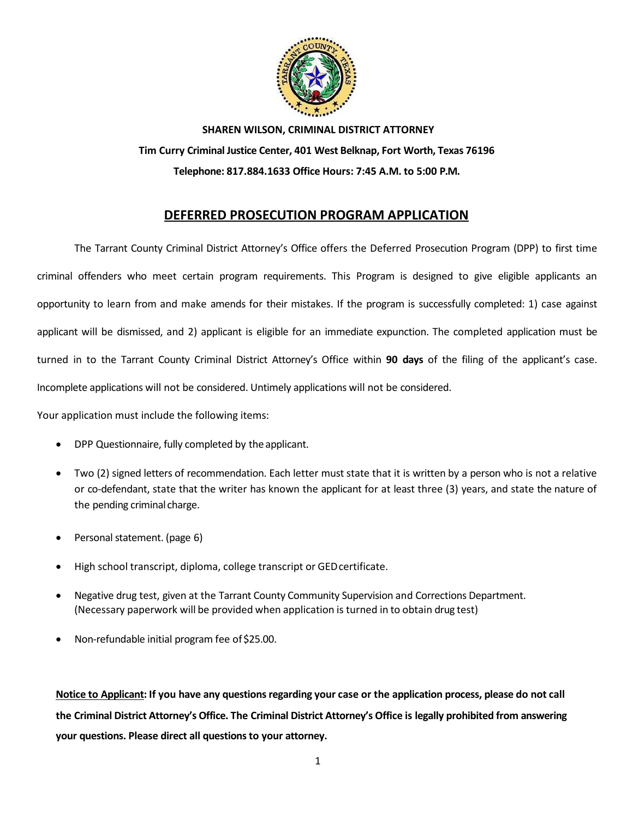

**SHAREN WILSON, CRIMINAL DISTRICT ATTORNEY Tim Curry Criminal Justice Center, 401 West Belknap, Fort Worth, Texas 76196 Telephone: 817.884.1633 Office Hours: 7:45 A.M. to 5:00 P.M.**

# **DEFERRED PROSECUTION PROGRAM APPLICATION**

The Tarrant County Criminal District Attorney's Office offers the Deferred Prosecution Program (DPP) to first time criminal offenders who meet certain program requirements. This Program is designed to give eligible applicants an opportunity to learn from and make amends for their mistakes. If the program is successfully completed: 1) case against applicant will be dismissed, and 2) applicant is eligible for an immediate expunction. The completed application must be turned in to the Tarrant County Criminal District Attorney's Office within **90 days** of the filing of the applicant's case. Incomplete applications will not be considered. Untimely applications will not be considered.

Your application must include the following items:

- DPP Questionnaire, fully completed by the applicant.
- Two (2) signed letters of recommendation. Each letter must state that it is written by a person who is not a relative or co-defendant, state that the writer has known the applicant for at least three (3) years, and state the nature of the pending criminal charge.
- Personal statement. (page 6)
- High school transcript, diploma, college transcript or GEDcertificate.
- Negative drug test, given at the Tarrant County Community Supervision and Corrections Department. (Necessary paperwork will be provided when application is turned in to obtain drug test)
- Non-refundable initial program fee of \$25.00.

**Notice to Applicant: If you have any questions regarding your case or the application process, please do not call the Criminal District Attorney's Office. The Criminal District Attorney's Office is legally prohibited from answering your questions. Please direct all questions to your attorney.**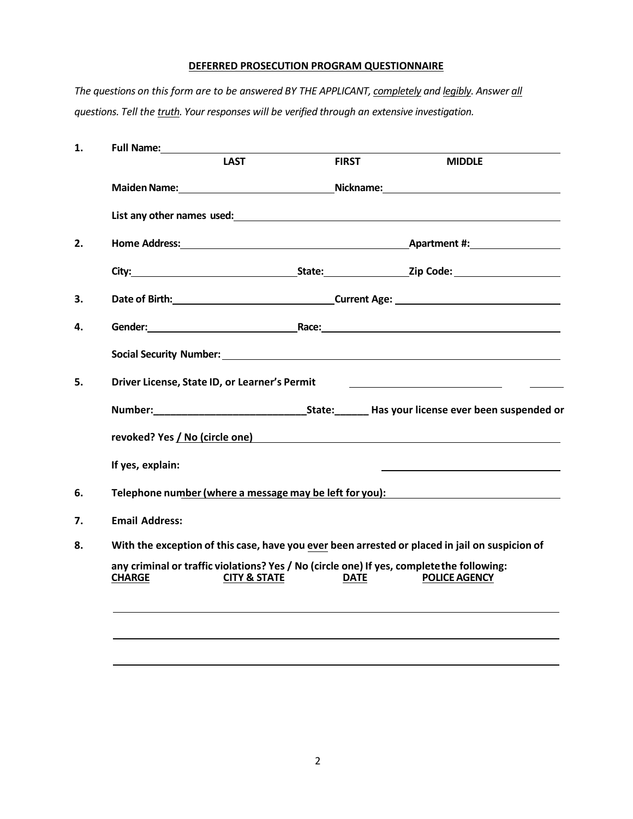#### **DEFERRED PROSECUTION PROGRAM QUESTIONNAIRE**

*The questions on this form are to be answered BY THE APPLICANT, completely and legibly. Answer all questions. Tell the truth. Your responses will be verified through an extensive investigation.*

| 1. | <b>Full Name:</b>                                                                                          |                                                                                                    |              |                                                                                                                                                                                                                                |  |  |
|----|------------------------------------------------------------------------------------------------------------|----------------------------------------------------------------------------------------------------|--------------|--------------------------------------------------------------------------------------------------------------------------------------------------------------------------------------------------------------------------------|--|--|
|    |                                                                                                            | <b>LAST</b>                                                                                        | <b>FIRST</b> | <b>MIDDLE</b>                                                                                                                                                                                                                  |  |  |
|    |                                                                                                            |                                                                                                    |              | Maiden Name: Nickname: Nickname: Nickname: Nickname: Nickname: Nickname: Nickname: Nickname: Nickname: Nickname: Nickname: Nickname: Nickname: Nickname: Nickname: Nickname: Nickname: Nickname: Nickname: Nickname: Nickname: |  |  |
|    |                                                                                                            |                                                                                                    |              | List any other names used:<br><u>List any other names used:</u>                                                                                                                                                                |  |  |
| 2. |                                                                                                            |                                                                                                    |              |                                                                                                                                                                                                                                |  |  |
|    |                                                                                                            |                                                                                                    |              | City: City: City: City: City: City: City: City: City: City: City: City: City: City: City: City: City: City: City: City: City: City: City: City: City: City: City: City: City: City: City: City: City: City: City: City: City:  |  |  |
| 3. |                                                                                                            |                                                                                                    |              | Date of Birth: No. 2014 19: 2014 20: 2014 20: 2014 20: 2014 20: 2014 20: 2014 20: 2014 20: 2014 20: 2014 20: 20                                                                                                                |  |  |
| 4. |                                                                                                            |                                                                                                    |              |                                                                                                                                                                                                                                |  |  |
|    |                                                                                                            |                                                                                                    |              | Social Security Number: Social Security Number: Social Security Number: Social Security Number: Social Security Number: Social Security Number: Social Security Number: Social Security Number: Social Security Number: Social |  |  |
| 5. |                                                                                                            | Driver License, State ID, or Learner's Permit<br><u> 1989 - Johann Barn, mars et al. (b. 1989)</u> |              |                                                                                                                                                                                                                                |  |  |
|    |                                                                                                            |                                                                                                    |              |                                                                                                                                                                                                                                |  |  |
|    |                                                                                                            |                                                                                                    |              |                                                                                                                                                                                                                                |  |  |
|    | If yes, explain:                                                                                           |                                                                                                    |              |                                                                                                                                                                                                                                |  |  |
| 6. |                                                                                                            |                                                                                                    |              | Telephone number (where a message may be left for you):                                                                                                                                                                        |  |  |
| 7. | <b>Email Address:</b>                                                                                      |                                                                                                    |              |                                                                                                                                                                                                                                |  |  |
| 8. | With the exception of this case, have you ever been arrested or placed in jail on suspicion of             |                                                                                                    |              |                                                                                                                                                                                                                                |  |  |
|    | any criminal or traffic violations? Yes / No (circle one) If yes, complete the following:<br><b>CHARGE</b> | <b>CITY &amp; STATE</b>                                                                            | <b>DATE</b>  | <b>POLICE AGENCY</b>                                                                                                                                                                                                           |  |  |
|    |                                                                                                            |                                                                                                    |              |                                                                                                                                                                                                                                |  |  |
|    |                                                                                                            |                                                                                                    |              |                                                                                                                                                                                                                                |  |  |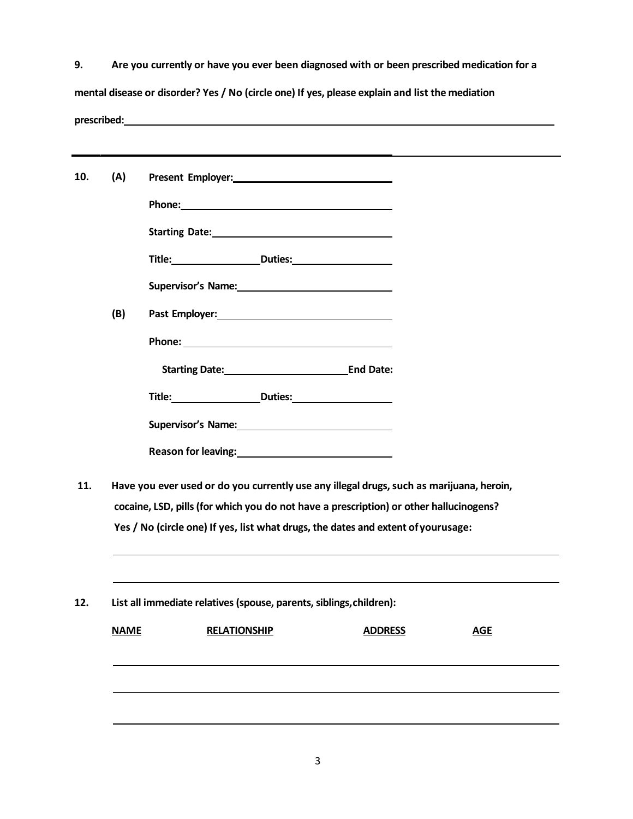| 9.           | Are you currently or have you ever been diagnosed with or been prescribed medication for a      |
|--------------|-------------------------------------------------------------------------------------------------|
|              | mental disease or disorder? Yes / No (circle one) If yes, please explain and list the mediation |
| prescribed:_ |                                                                                                 |

| (A) |                                                                                        |                                                                                                                                                                                                                                |                |  |            |  |  |
|-----|----------------------------------------------------------------------------------------|--------------------------------------------------------------------------------------------------------------------------------------------------------------------------------------------------------------------------------|----------------|--|------------|--|--|
|     |                                                                                        |                                                                                                                                                                                                                                |                |  |            |  |  |
|     |                                                                                        |                                                                                                                                                                                                                                |                |  |            |  |  |
|     |                                                                                        | Title: Duties: Duties:                                                                                                                                                                                                         |                |  |            |  |  |
|     |                                                                                        |                                                                                                                                                                                                                                |                |  |            |  |  |
| (B) |                                                                                        | Past Employer: Note and the state of the state of the state of the state of the state of the state of the state of the state of the state of the state of the state of the state of the state of the state of the state of the |                |  |            |  |  |
|     |                                                                                        |                                                                                                                                                                                                                                |                |  |            |  |  |
|     |                                                                                        | Starting Date: End Date:                                                                                                                                                                                                       |                |  |            |  |  |
|     |                                                                                        |                                                                                                                                                                                                                                |                |  |            |  |  |
|     |                                                                                        |                                                                                                                                                                                                                                |                |  |            |  |  |
|     |                                                                                        |                                                                                                                                                                                                                                |                |  |            |  |  |
|     |                                                                                        | Have you ever used or do you currently use any illegal drugs, such as marijuana, heroin,                                                                                                                                       |                |  |            |  |  |
|     | cocaine, LSD, pills (for which you do not have a prescription) or other hallucinogens? |                                                                                                                                                                                                                                |                |  |            |  |  |
|     |                                                                                        | Yes / No (circle one) If yes, list what drugs, the dates and extent of yourusage:                                                                                                                                              |                |  |            |  |  |
|     |                                                                                        | List all immediate relatives (spouse, parents, siblings, children):                                                                                                                                                            |                |  |            |  |  |
|     | <b>NAME</b>                                                                            | <b>RELATIONSHIP</b>                                                                                                                                                                                                            | <b>ADDRESS</b> |  | <b>AGE</b> |  |  |
|     |                                                                                        |                                                                                                                                                                                                                                |                |  |            |  |  |
|     |                                                                                        |                                                                                                                                                                                                                                |                |  |            |  |  |
|     |                                                                                        |                                                                                                                                                                                                                                |                |  |            |  |  |
|     |                                                                                        |                                                                                                                                                                                                                                |                |  |            |  |  |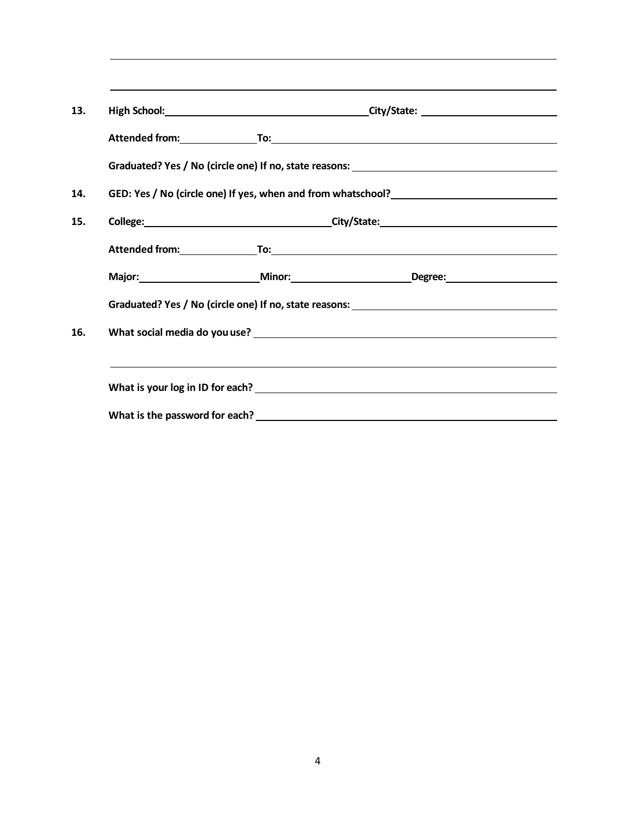|  | Graduated? Yes / No (circle one) If no, state reasons: __________________________ |
|--|-----------------------------------------------------------------------------------|
|  |                                                                                   |
|  |                                                                                   |
|  |                                                                                   |
|  | Major: Major: Minor: Minor: Degree: Major: Degree:                                |
|  |                                                                                   |
|  |                                                                                   |
|  |                                                                                   |
|  |                                                                                   |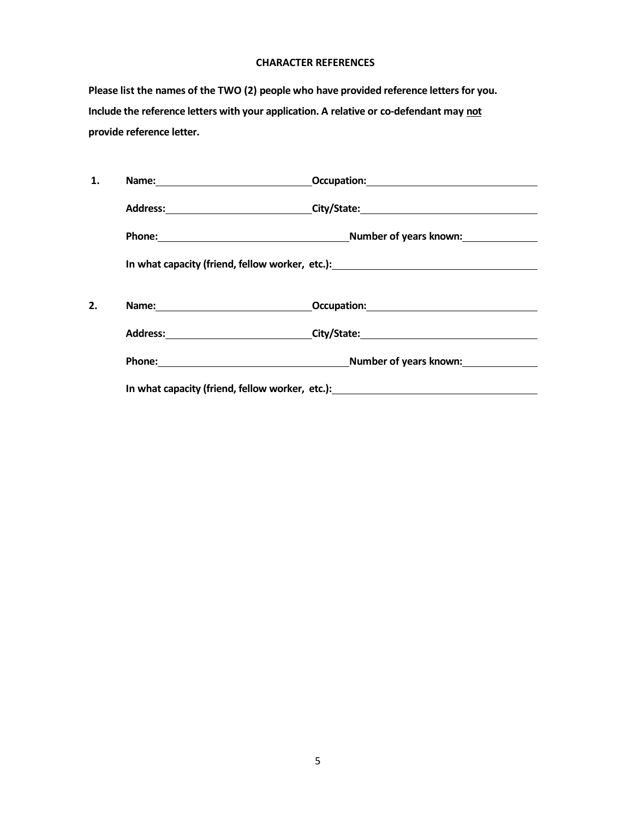#### **CHARACTER REFERENCES**

**Please list the names of the TWO (2) people who have provided reference letters for you. Include the reference letters with your application. A relative or co-defendant may not provide reference letter.**

| 1. |  |                                                                                  |  |  |
|----|--|----------------------------------------------------------------------------------|--|--|
|    |  | Address: _________________________________City/State:___________________________ |  |  |
|    |  | Phone: Number of years known:                                                    |  |  |
|    |  |                                                                                  |  |  |
| 2. |  |                                                                                  |  |  |
|    |  | Address: City/State: City/State: City/State: 2014                                |  |  |
|    |  | Phone: Number of years known: Number of years known:                             |  |  |
|    |  | In what capacity (friend, fellow worker, etc.):                                  |  |  |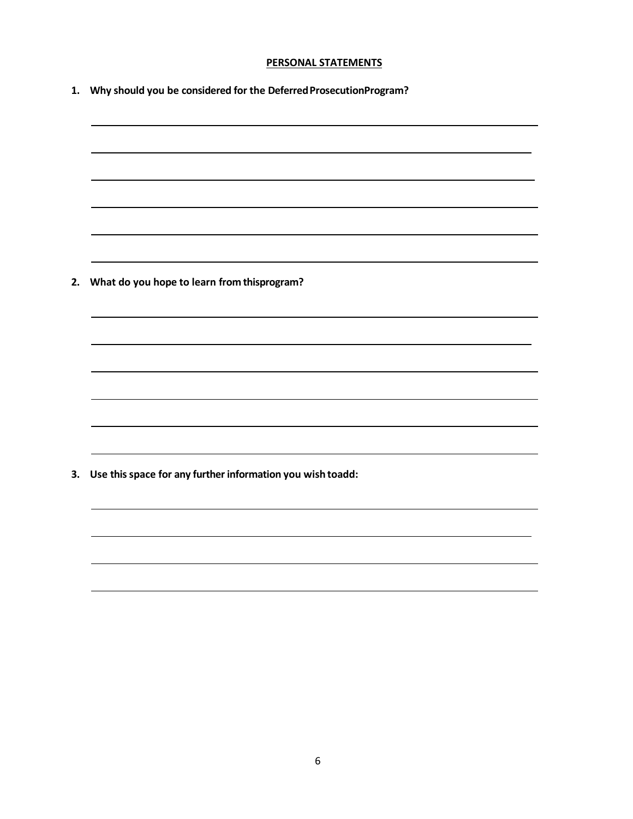#### **PERSONAL STATEMENTS**

**1. Why should you be considered for the DeferredProsecutionProgram?**

**2. What do you hope to learn from thisprogram?**

**3. Use this space for any further information you wish toadd:**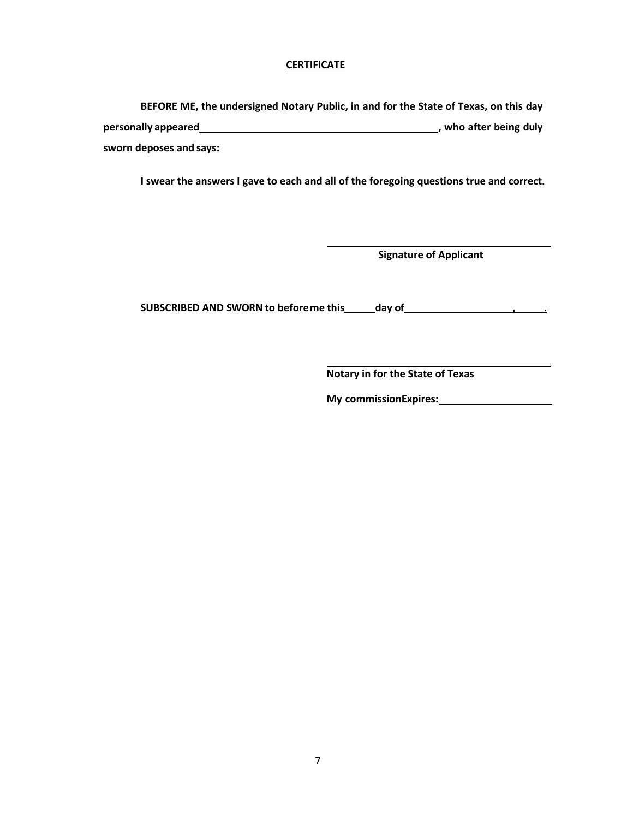#### **CERTIFICATE**

**BEFORE ME, the undersigned Notary Public, in and for the State of Texas, on this day personally** appeared *n n n* **<b>***n n n n n n n n n n n n n n n n n n n n n n n n n n n n n n n* **sworn deposes and says:**

**I swear the answers I gave to each and all of the foregoing questions true and correct.**

**Signature of Applicant**

**SUBSCRIBED AND SWORN to beforeme this \_\_\_\_\_day of \_\_\_\_\_\_\_\_\_\_\_\_\_\_\_\_\_\_\_\_\_\_\_\_\_\_\_\_\_\_\_** 

**Notary in for the State of Texas**

**My commissionExpires:**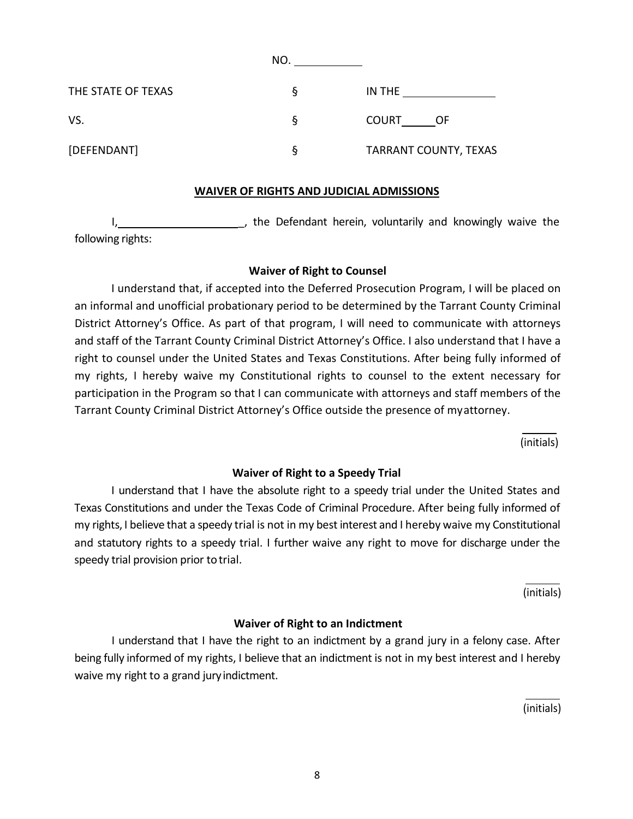|                    | NO. |                              |
|--------------------|-----|------------------------------|
| THE STATE OF TEXAS | ঽ   | IN THE                       |
| VS.                | ২   | <b>COURT</b><br>OF           |
| [DEFENDANT]        | ১   | <b>TARRANT COUNTY, TEXAS</b> |

## **WAIVER OF RIGHTS AND JUDICIAL ADMISSIONS**

I, the Defendant herein, voluntarily and knowingly waive the following rights:

## **Waiver of Right to Counsel**

I understand that, if accepted into the Deferred Prosecution Program, I will be placed on an informal and unofficial probationary period to be determined by the Tarrant County Criminal District Attorney's Office. As part of that program, I will need to communicate with attorneys and staff of the Tarrant County Criminal District Attorney's Office. I also understand that I have a right to counsel under the United States and Texas Constitutions. After being fully informed of my rights, I hereby waive my Constitutional rights to counsel to the extent necessary for participation in the Program so that I can communicate with attorneys and staff members of the Tarrant County Criminal District Attorney's Office outside the presence of my attorney.

(initials)

## **Waiver of Right to a Speedy Trial**

I understand that I have the absolute right to a speedy trial under the United States and Texas Constitutions and under the Texas Code of Criminal Procedure. After being fully informed of my rights, I believe that a speedy trial is not in my best interest and I hereby waive my Constitutional and statutory rights to a speedy trial. I further waive any right to move for discharge under the speedy trial provision prior totrial.

(initials)

## **Waiver of Right to an Indictment**

I understand that I have the right to an indictment by a grand jury in a felony case. After being fully informed of my rights, I believe that an indictment is not in my best interest and I hereby waive my right to a grand jury indictment.

(initials)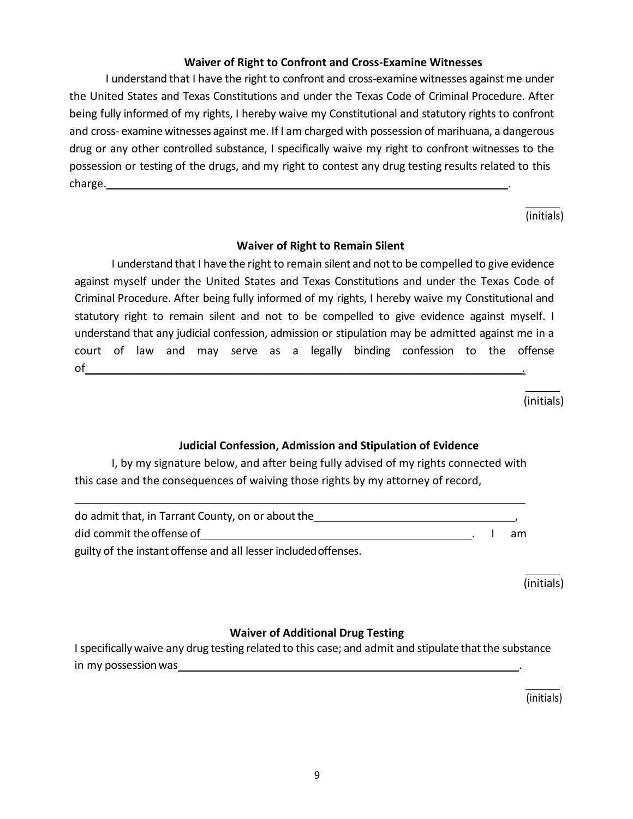# **Waiver of Right to Confront and Cross-Examine Witnesses**

I understand that I have the right to confront and cross-examine witnesses against me under the United States and Texas Constitutions and under the Texas Code of Criminal Procedure. After being fully informed of my rights, I hereby waive my Constitutional and statutory rights to confront and cross- examine witnesses against me. If I am charged with possession of marihuana, a dangerous drug or any other controlled substance, I specifically waive my right to confront witnesses to the possession or testing of the drugs, and my right to contest any drug testing results related to this charge. <u>\_\_\_\_\_\_\_\_\_\_\_\_\_\_\_\_\_\_\_\_\_\_\_\_</u>

(initials)

## **Waiver of Right to Remain Silent**

I understand that I have the right to remain silent and notto be compelled to give evidence against myself under the United States and Texas Constitutions and under the Texas Code of Criminal Procedure. After being fully informed of my rights, I hereby waive my Constitutional and statutory right to remain silent and not to be compelled to give evidence against myself. I understand that any judicial confession, admission or stipulation may be admitted against me in a court of law and may serve as a legally binding confession to the offense  $\circ$  f

(initials)

# **Judicial Confession, Admission and Stipulation of Evidence**

I, by my signature below, and after being fully advised of my rights connected with this case and the consequences of waiving those rights by my attorney of record,

| do admit that, in Tarrant County, on or about the               |    |
|-----------------------------------------------------------------|----|
| did commit the offense of                                       | am |
| guilty of the instant offense and all lesser included offenses. |    |

(initials)

# **Waiver of Additional Drug Testing**

I specifically waive any drug testing related to this case; and admit and stipulate that the substance in my possession was

(initials)